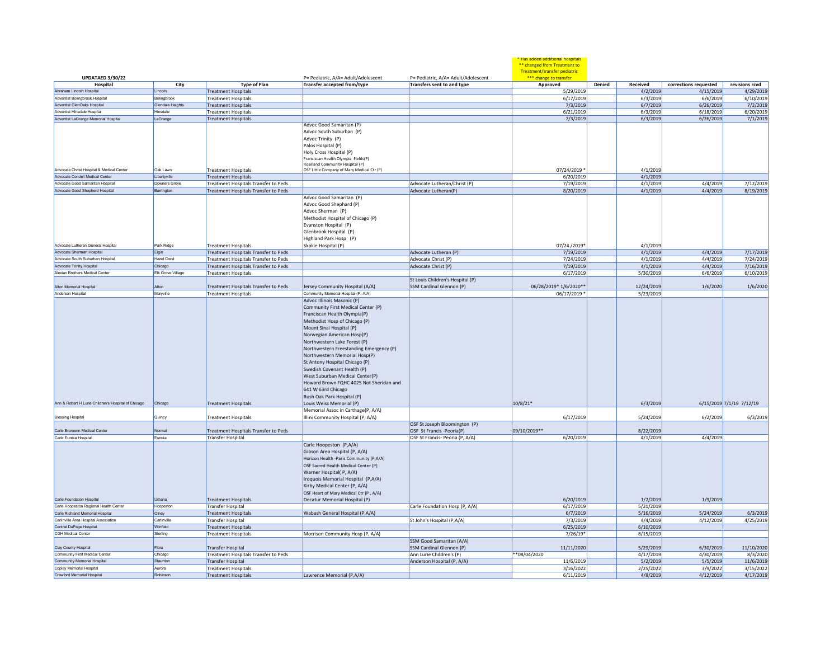|                                                               |                              |                                                                  |                                                                                                                                                                                                                                                                                                                                                                                                                                                                              |                                                      | * Has added additional hospitals<br>** changed from Treatment to<br>Treatment/transfer pediatric |        |                        |                                    |                          |
|---------------------------------------------------------------|------------------------------|------------------------------------------------------------------|------------------------------------------------------------------------------------------------------------------------------------------------------------------------------------------------------------------------------------------------------------------------------------------------------------------------------------------------------------------------------------------------------------------------------------------------------------------------------|------------------------------------------------------|--------------------------------------------------------------------------------------------------|--------|------------------------|------------------------------------|--------------------------|
| <b>UPDATAED 3/30/22</b>                                       |                              |                                                                  | P= Pediatric, A/A= Adult/Adolescent                                                                                                                                                                                                                                                                                                                                                                                                                                          | P= Pediatric, A/A= Adult/Adolescent                  | *** change to transfer                                                                           | Denied | Received               |                                    | revisions rcvd           |
| Hospital<br>Abraham Lincoln Hospital                          | City<br>Lincoln              | <b>Type of Plan</b><br><b>Treatment Hospitals</b>                | Transfer accepted from/type                                                                                                                                                                                                                                                                                                                                                                                                                                                  | Transfers sent to and type                           | Approved<br>5/29/2019                                                                            |        | 4/2/2019               | corrections requested<br>4/15/2019 | 4/29/2019                |
| Adventist Bolingbrook Hospital                                | Bolingbrook                  | <b>Treatment Hospitals</b>                                       |                                                                                                                                                                                                                                                                                                                                                                                                                                                                              |                                                      | 6/17/2019                                                                                        |        | 6/3/2019               | 6/6/2019                           | 6/10/2019                |
| Adventist GlenOaks Hospital                                   | Glendale Heights             | <b>Treatment Hospitals</b>                                       |                                                                                                                                                                                                                                                                                                                                                                                                                                                                              |                                                      | 7/3/2019                                                                                         |        | 6/7/2019               | 6/26/2019                          | 7/2/2019                 |
| Adventist Hinsdale Hospital                                   | Hinsdale                     | <b>Treatment Hospitals</b>                                       |                                                                                                                                                                                                                                                                                                                                                                                                                                                                              |                                                      | 6/21/2019                                                                                        |        | 6/3/2019               | 6/18/2019                          | 6/20/2019                |
| Adventist LaGrange Memorial Hospital                          | LaGrange                     | <b>Treatment Hospitals</b>                                       |                                                                                                                                                                                                                                                                                                                                                                                                                                                                              |                                                      | 7/3/2019                                                                                         |        | 6/3/2019               | 6/26/2019                          | 7/1/2019                 |
|                                                               |                              |                                                                  | Advoc Good Samaritan (P)<br>Advoc South Suburban (P)<br>Advoc Trinity (P)<br>Palos Hospital (P)<br>Holy Cross Hospital (P)<br>Franciscan Health Olympia Fields(P)<br>Roseland Community Hospital (P)                                                                                                                                                                                                                                                                         |                                                      |                                                                                                  |        |                        |                                    |                          |
| Advocate Christ Hospital & Medical Center                     | Oak Lawn                     | <b>Treatment Hospitals</b>                                       | OSF Little Company of Mary Medical Ctr (P)                                                                                                                                                                                                                                                                                                                                                                                                                                   |                                                      | 07/24/2019 *                                                                                     |        | 4/1/2019               |                                    |                          |
| Advocate Condell Medical Center                               | Libertyville                 | <b>Treatment Hospitals</b>                                       |                                                                                                                                                                                                                                                                                                                                                                                                                                                                              |                                                      | 6/20/2019                                                                                        |        | 4/1/2019               |                                    |                          |
| Advocate Good Samaritan Hospita                               | Downers Grove                | Treatment Hospitals Transfer to Peds                             |                                                                                                                                                                                                                                                                                                                                                                                                                                                                              | Advocate Lutheran/Christ (P)                         | 7/19/2019                                                                                        |        | 4/1/2019               | 4/4/2019                           | 7/12/2019                |
| Advocate Good Shepherd Hospital                               | Barrington                   | Treatment Hospitals Transfer to Peds                             | Advoc Good Samaritan (P)<br>Advoc Good Shephard (P)<br>Advoc Sherman (P)                                                                                                                                                                                                                                                                                                                                                                                                     | Advocate Lutheran(P)                                 | 8/20/2019                                                                                        |        | 4/1/2019               | 4/4/2019                           | 8/19/2019                |
|                                                               |                              |                                                                  | Methodist Hospital of Chicago (P)<br>Evanston Hospital (P)<br>Glenbrook Hospital (P)<br>Highland Park Hosp (P)                                                                                                                                                                                                                                                                                                                                                               |                                                      |                                                                                                  |        |                        |                                    |                          |
| Advocate Lutheran General Hospita                             | Park Ridge                   | <b>Treatment Hospitals</b>                                       | Skokie Hospital (P)                                                                                                                                                                                                                                                                                                                                                                                                                                                          |                                                      | 07/24 /2019*                                                                                     |        | 4/1/2019               |                                    |                          |
| Advocate Sherman Hospital<br>Advocate South Suburban Hospital | Elgin<br><b>Hazel Crest</b>  | Treatment Hospitals Transfer to Peds                             |                                                                                                                                                                                                                                                                                                                                                                                                                                                                              | Advocate Lutheran (P)                                | 7/19/2019                                                                                        |        | 4/1/2019               | 4/4/2019                           | 7/17/2019                |
| Advocate Trinity Hospital                                     |                              | Treatment Hospitals Transfer to Peds                             |                                                                                                                                                                                                                                                                                                                                                                                                                                                                              | Advocate Christ (P)                                  | 7/24/2019                                                                                        |        | 4/1/2019               | 4/4/2019                           | 7/24/2019                |
| Alexian Brothers Medical Center                               | Chicago<br>Elk Grove Village | Treatment Hospitals Transfer to Peds                             |                                                                                                                                                                                                                                                                                                                                                                                                                                                                              | Advocate Christ (P)                                  | 7/19/2019                                                                                        |        | 4/1/2019               | 4/4/2019                           | 7/16/2019                |
|                                                               |                              | <b>Treatment Hospitals</b>                                       |                                                                                                                                                                                                                                                                                                                                                                                                                                                                              | St Louis Children's Hospital (P)                     | 6/17/2019                                                                                        |        | 5/30/2019              | 6/6/2019                           | 6/10/2019                |
| Alton Memorial Hospital                                       | Alton                        | Treatment Hospitals Transfer to Peds                             | Jersey Community Hospital (A/A)                                                                                                                                                                                                                                                                                                                                                                                                                                              | SSM Cardinal Glennon (P)                             | 06/28/2019* 1/6/2020**                                                                           |        | 12/24/2019             | 1/6/2020                           | 1/6/2020                 |
| Anderson Hospital                                             | Maryville                    | <b>Treatment Hospitals</b>                                       | Community Memorial Hospital (P, A/A)                                                                                                                                                                                                                                                                                                                                                                                                                                         |                                                      | 06/17/2019 *                                                                                     |        | 5/23/2019              |                                    |                          |
|                                                               |                              |                                                                  | Community First Medical Center (P)<br>Franciscan Health Olympia(P)<br>Methodist Hosp of Chicago (P)<br>Mount Sinai Hospital (P)<br>Norwegian American Hosp(P)<br>Northwestern Lake Forest (P)<br>Northwestern Freestanding Emergency (P)<br>Northwestern Memorial Hosp(P)<br>St Antony Hospital Chicago (P)<br>Swedish Covenant Health (P)<br>West Suburban Medical Center(P)<br>Howard Brown FQHC 4025 Not Sheridan and<br>641 W 63rd Chicago<br>Rush Oak Park Hospital (P) |                                                      |                                                                                                  |        |                        |                                    |                          |
| Ann & Robert H Lurie Children's Hospital of Chicago           | Chicago                      | <b>Treatment Hospitals</b>                                       | Louis Weiss Memorial (P)                                                                                                                                                                                                                                                                                                                                                                                                                                                     |                                                      | 10/8/21*                                                                                         |        | 6/3/2019               |                                    | 6/15/2019 7/1/19 7/12/19 |
| <b>Blessing Hospital</b>                                      | Quincy                       | <b>Treatment Hospitals</b>                                       | Memorial Assoc in Carthage(P, A/A)<br>Illini Community Hospital (P, A/A)                                                                                                                                                                                                                                                                                                                                                                                                     | OSF St Joseph Bloomington (P)                        | 6/17/2019                                                                                        |        | 5/24/2019              | 6/2/2019                           | 6/3/2019                 |
| Carle Bromenn Medical Center                                  | Norma                        | Treatment Hospitals Transfer to Peds                             |                                                                                                                                                                                                                                                                                                                                                                                                                                                                              | OSF St Francis - Peoria(P)                           | 09/10/2019 **                                                                                    |        | 8/22/2019              |                                    |                          |
| Carle Eureka Hospital                                         | Eureka                       | <b>Transfer Hospital</b>                                         |                                                                                                                                                                                                                                                                                                                                                                                                                                                                              | OSF St Francis- Peoria (P, A/A)                      | 6/20/2019                                                                                        |        | 4/1/2019               | 4/4/2019                           |                          |
|                                                               |                              |                                                                  | Carle Hoopeston (P,A/A)<br>Gibson Area Hospital (P, A/A)<br>Horizon Health -Paris Community (P,A/A)<br>OSF Sacred Health Medical Center (P)<br>Warner Hospital(P, A/A)<br>Iroquois Memorial Hospital (P,A/A)<br>Kirby Medical Center (P, A/A)<br>OSF Heart of Mary Medical Ctr (P, A/A)                                                                                                                                                                                      |                                                      |                                                                                                  |        |                        |                                    |                          |
| Carle Foundation Hospital                                     | Urbana                       | <b>Treatment Hospitals</b>                                       | Decatur Memorial Hospital (P)                                                                                                                                                                                                                                                                                                                                                                                                                                                |                                                      | 6/20/2019                                                                                        |        | 1/2/2019               | 1/9/2019                           |                          |
| Carle Hoopeston Regional Health Center                        | Hoopeston                    | Transfer Hospital                                                |                                                                                                                                                                                                                                                                                                                                                                                                                                                                              | Carle Foundation Hosp (P, A/A)                       | 6/17/2019                                                                                        |        | 5/21/2019              |                                    |                          |
| Carle Richland Memorial Hospital                              | Olney                        | <b>Treatment Hospitals</b>                                       | Wabash General Hospital (P,A/A)                                                                                                                                                                                                                                                                                                                                                                                                                                              |                                                      | 6/7/2019                                                                                         |        | 5/16/2019              | 5/24/2019                          | 6/3/2019                 |
| Carlinville Area Hospital Association                         | Carlinville                  | <b>Transfer Hospital</b>                                         |                                                                                                                                                                                                                                                                                                                                                                                                                                                                              | St John's Hospital (P,A/A)                           | 7/3/2019                                                                                         |        | 4/4/2019               | 4/12/2019                          | 4/25/2019                |
| Central DuPage Hospital                                       | Winfield                     | <b>Treatment Hospitals</b>                                       |                                                                                                                                                                                                                                                                                                                                                                                                                                                                              |                                                      | 6/25/2019                                                                                        |        | 6/10/2019              |                                    |                          |
| CGH Medical Center                                            | Sterling                     | <b>Treatment Hospitals</b>                                       | Morrison Community Hosp (P, A/A)                                                                                                                                                                                                                                                                                                                                                                                                                                             |                                                      | 7/26/19*                                                                                         |        | 8/15/2019              |                                    |                          |
|                                                               |                              |                                                                  |                                                                                                                                                                                                                                                                                                                                                                                                                                                                              | SSM Good Samaritan (A/A)                             |                                                                                                  |        |                        |                                    |                          |
| Clay County Hospital<br>Community First Medical Center        | Flora<br>Chicago             | <b>Transfer Hospital</b><br>Treatment Hospitals Transfer to Peds |                                                                                                                                                                                                                                                                                                                                                                                                                                                                              | SSM Cardinal Glennon (P)<br>Ann Lurie Children's (P) | 11/11/2020<br>**08/04/2020                                                                       |        | 5/29/2019<br>4/17/2019 | 6/30/2019<br>4/30/2019             | 11/10/2020<br>8/3/2020   |
| Community Memorial Hospital                                   | Staunton                     | Transfer Hospital                                                |                                                                                                                                                                                                                                                                                                                                                                                                                                                                              | Anderson Hospital (P, A/A)                           | 11/6/2019                                                                                        |        | 5/2/2019               | 5/5/2019                           | 11/6/2019                |
| Copley Memorial Hospital                                      | Aurora                       | <b>Treatment Hospitals</b>                                       |                                                                                                                                                                                                                                                                                                                                                                                                                                                                              |                                                      | 3/16/2022                                                                                        |        | 2/25/2022              | 3/9/2022                           | 3/15/2022                |
| Crawford Memorial Hospital                                    | Robinson                     | <b>Treatment Hospitals</b>                                       | Lawrence Memorial (P.A/A)                                                                                                                                                                                                                                                                                                                                                                                                                                                    |                                                      | 6/11/2019                                                                                        |        | 4/8/2019               | 4/12/2019                          | 4/17/2019                |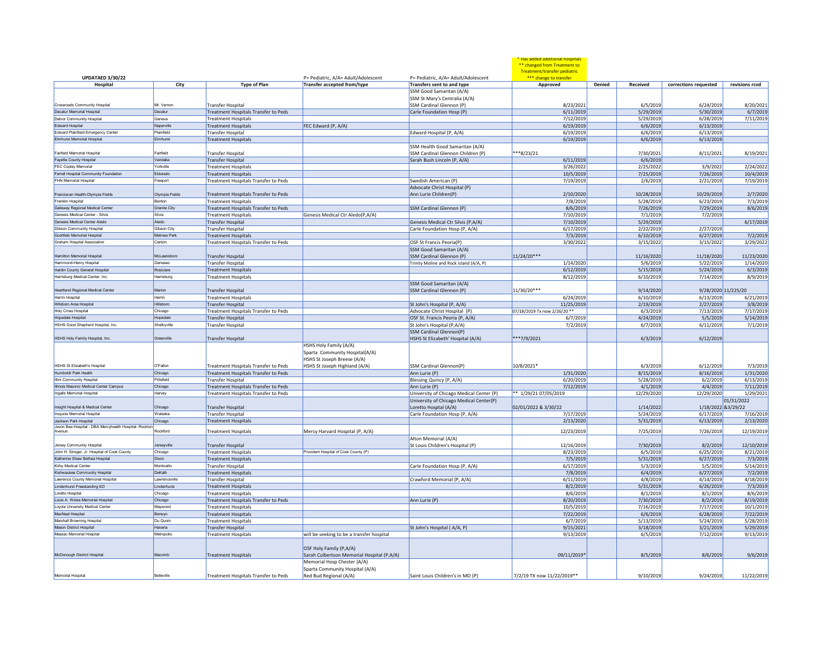| UPDATAED 3/30/22                                      |                    |                                                                  | P= Pediatric, A/A= Adult/Adolescent                                                      | P= Pediatric, A/A= Adult/Adolescent                       | * Has added additional hospitals<br>** changed from Treatment to<br>Treatment/transfer pediatric<br>*** change to transfer |                    |                       |                     |
|-------------------------------------------------------|--------------------|------------------------------------------------------------------|------------------------------------------------------------------------------------------|-----------------------------------------------------------|----------------------------------------------------------------------------------------------------------------------------|--------------------|-----------------------|---------------------|
| Hospital                                              | City               | <b>Type of Plan</b>                                              | Transfer accepted from/type                                                              | Transfers sent to and type                                | Approved                                                                                                                   | Denied<br>Received | corrections requested | revisions rcvd      |
|                                                       |                    |                                                                  |                                                                                          | SSM Good Samaritan (A/A)<br>SSM St Mary's Centralia (A/A) |                                                                                                                            |                    |                       |                     |
| <b>Crossroads Community Hospital</b>                  | Mt. Vernon         | <b>Transfer Hospital</b>                                         |                                                                                          | SSM Cardinal Glennon (P)                                  | 8/23/2021                                                                                                                  | 6/5/2019           | 6/24/2019             | 8/20/2021           |
| Decatur Memorial Hospita                              | Decatur            | Treatment Hospitals Transfer to Peds                             |                                                                                          | Carle Foundation Hosp (P)                                 | 6/11/2019                                                                                                                  | 5/29/2019          | 5/30/2019             | 6/7/2019            |
| Delnor Community Hospital                             | Geneva             | <b>Treatment Hospitals</b>                                       |                                                                                          |                                                           | 7/12/2019                                                                                                                  | 5/29/2019          | 6/28/2019             | 7/11/2019           |
| Edward Hospital                                       | Naperville         | <b>Treatment Hospitals</b>                                       | FEC Edward (P, A/A)                                                                      |                                                           | 6/19/2019                                                                                                                  | 6/6/2019           | 6/13/2019             |                     |
| Edward Plainfield Emergency Center                    | Plainfield         | <b>Transfer Hospital</b>                                         |                                                                                          | Edward Hospital (P, A/A)                                  | 6/19/2019                                                                                                                  | 6/6/2019           | 6/13/2019             |                     |
| Elmhurst Memorial Hospita                             | <b>Elmhurst</b>    | <b>Treatment Hospitals</b>                                       |                                                                                          |                                                           | 6/19/2019                                                                                                                  | 6/6/2019           | 6/13/2019             |                     |
|                                                       |                    |                                                                  |                                                                                          | SSM Health Good Samaritan (A/A)                           |                                                                                                                            |                    |                       |                     |
| Fairfield Memorial Hospita                            | Fairfield          | <b>Transfer Hospital</b>                                         |                                                                                          | SSM Cardinal Glennon Children (P)                         | ***8/23/21                                                                                                                 | 7/30/2021          | 8/11/2021             | 8/19/2021           |
| Fayette County Hospital                               | Vandalia           | <b>Transfer Hospital</b>                                         |                                                                                          | Sarah Bush Lincoln (P, A/A)                               | 6/11/2019                                                                                                                  | 6/6/2019           |                       |                     |
| <b>FEC Copley Memoria</b>                             | Yorkville          | <b>Treatment Hospitals</b>                                       |                                                                                          |                                                           | 3/26/2022                                                                                                                  | 2/25/2022          | 3/9/2022              | 2/24/2022           |
| Ferrell Hospital Community Foundation                 | Eldorado           | <b>Treatment Hospitals</b>                                       |                                                                                          |                                                           | 10/5/2019                                                                                                                  | 7/25/2019          | 7/26/2019             | 10/4/2019           |
| <b>FHN Memorial Hospital</b>                          | Freenort           |                                                                  |                                                                                          |                                                           |                                                                                                                            |                    |                       |                     |
|                                                       |                    | Treatment Hospitals Transfer to Peds                             |                                                                                          | Swedish American (P)                                      | 7/19/2019                                                                                                                  | 2/6/2019           | 2/21/2019             | 7/19/2019           |
|                                                       |                    |                                                                  |                                                                                          | Advocate Christ Hospital (P)                              |                                                                                                                            |                    |                       | 2/7/2020            |
| Franciscan Health-Olympia Fields                      | Olympia Fields     | Treatment Hospitals Transfer to Peds                             |                                                                                          | Ann Lurie Children(P)                                     | 2/10/2020                                                                                                                  | 10/28/2019         | 10/29/2019            |                     |
| Franklin Hospita                                      | Benton             | <b>Treatment Hospitals</b>                                       |                                                                                          |                                                           | 7/8/2019                                                                                                                   | 5/28/2019          | 6/23/2019             | 7/3/2019            |
| Gateway Regional Medical Center                       | Granite City       | Treatment Hospitals Transfer to Peds                             |                                                                                          | SSM Cardinal Glennon (P)                                  | 8/6/2019                                                                                                                   | 7/26/2019          | 7/29/2019             | 8/6/2019            |
| Genesis Medical Center - Silvis                       | Silvis             | <b>Treatment Hospitals</b>                                       | Genesis Medical Ctr Aledo(P,A/A)                                                         |                                                           | 7/10/2019                                                                                                                  | 7/1/2019           | 7/2/2019              |                     |
| Genesis Medical Center Aledo                          | Aledo              | <b>Transfer Hospital</b>                                         |                                                                                          | Genesis Medical Ctr Silvis (P,A/A)                        | 7/10/2019                                                                                                                  | 5/29/2019          |                       | 6/17/2019           |
| <b>Gibson Community Hospita</b>                       | <b>Gibson City</b> | <b>Transfer Hospital</b>                                         |                                                                                          | Carle Foundation Hosp (P, A/A)                            | 6/17/2019                                                                                                                  | 2/22/2019          | 2/27/2019             |                     |
| Goottlieb Memorial Hospital                           | Melrose Park       | <b>Treatment Hospitals</b>                                       |                                                                                          |                                                           | 7/3/2019                                                                                                                   | 6/10/2019          | 6/27/2019             | 7/2/2019            |
| Graham Hospital Association                           | Canton             | Treatment Hospitals Transfer to Peds                             |                                                                                          | OSF St Francis Peoria(P)                                  | 3/30/2022                                                                                                                  | 3/15/2022          | 3/15/2022             | 3/29/2022           |
|                                                       |                    |                                                                  |                                                                                          | SSM Good Samaritan (A/A)                                  |                                                                                                                            |                    |                       |                     |
| Hamilton Memorial Hospital                            | McLeansbord        | <b>Transfer Hospital</b>                                         |                                                                                          | SSM Cardinal Glennon (P)                                  | 11/24/20***                                                                                                                | 11/16/2020         | 11/18/2020            | 11/23/2020          |
| Hammond-Henry Hospital                                | Genesed            | <b>Transfer Hospital</b>                                         |                                                                                          | Trinity Moline and Rock Island (A/A, P)                   | 1/14/2020                                                                                                                  | 5/6/2019           | 5/22/2019             | 1/14/2020           |
| Hardin County General Hospital                        | Rosiclare          | <b>Treatment Hospitals</b>                                       |                                                                                          |                                                           | 6/12/2019                                                                                                                  | 5/15/2019          | 5/24/2019             | 6/3/2019            |
| Harrisburg Medical Center, Inc.                       | Harrisburg         | <b>Treatment Hospitals</b>                                       |                                                                                          |                                                           | 8/12/2019                                                                                                                  | 6/10/2019          | 7/14/2019             | 8/9/2019            |
|                                                       |                    |                                                                  |                                                                                          | SSM Good Samaritan (A/A)                                  |                                                                                                                            |                    |                       |                     |
| <b>Heartland Regional Medical Center</b>              | Marion             | <b>Transfer Hospital</b>                                         |                                                                                          | SSM Cardinal Glennon (P)                                  | 11/30/20***                                                                                                                | 9/14/2020          |                       | 9/28/2020 11/225/20 |
| <b>Herrin Hospital</b>                                | Herrin             | <b>Treatment Hospitals</b>                                       |                                                                                          |                                                           | 6/24/2019                                                                                                                  | 6/10/2019          | 6/13/2019             | 6/21/2019           |
| Hillsboro Area Hospital                               | Hillsboro          | Transfer Hospital                                                |                                                                                          | St John's Hospital (P, A/A)                               | 11/25/2019                                                                                                                 | 2/19/2019          | 2/27/2019             | 3/8/2019            |
| <b>Holy Cross Hospital</b>                            | Chicago            |                                                                  |                                                                                          | Advocate Christ Hospital (P                               | 07/18/2019 Tx now 2/26/20 **                                                                                               | 6/3/2019           | 7/13/2019             | 7/17/2019           |
| Hopedale Hospital                                     | Hopedale           | Treatment Hospitals Transfer to Peds<br><b>Transfer Hospital</b> |                                                                                          | OSF St. Francis Peoria (P, A/A)                           | 6/7/2019                                                                                                                   | 4/24/2019          | 5/5/2019              | 5/14/2019           |
| HSHS Good Shepherd Hospital, Inc.                     | Shelbyville        | <b>Transfer Hospital</b>                                         |                                                                                          | St John's Hospital (P,A/A)                                | 7/2/2019                                                                                                                   | 6/7/2019           | 6/11/2019             | 7/1/2019            |
|                                                       |                    |                                                                  |                                                                                          | SSM Cardinal Glennon(P)                                   |                                                                                                                            |                    |                       |                     |
| HSHS Holy Family Hospital, Inc                        | Greenville         |                                                                  |                                                                                          | HSHS St Elizabeth' Hospital (A/A)                         | ***7/9/2021                                                                                                                | 6/3/2019           | 6/12/2019             |                     |
|                                                       |                    | <b>Transfer Hospital</b>                                         | HSHS Holy Family (A/A)<br>Sparta Community Hospital(A/A)<br>HSHS St Joseph Breese (A/A)  |                                                           |                                                                                                                            |                    |                       |                     |
| <b>HSHS St Elizabeth's Hospital</b>                   | O'Fallon           | Treatment Hospitals Transfer to Peds                             | HSHS St Joseph Highland (A/A)                                                            | SSM Cardinal Glennon(P)                                   | 10/8/2021*                                                                                                                 | 6/3/2019           | 6/12/2019             | 7/3/2019            |
| Humboldt Park Health                                  | Chicago            | Treatment Hospitals Transfer to Peds                             |                                                                                          | Ann Lurie (P)                                             | 1/31/2020                                                                                                                  | 8/15/2019          | 8/16/2019             | 1/31/2020           |
| Illini Community Hospital                             | Pittsfield         | <b>Transfer Hospital</b>                                         |                                                                                          | Blessing Quincy (P, A/A)                                  | 6/20/2019                                                                                                                  | 5/28/2019          | 6/2/2019              | 6/13/2019           |
| Illinois Masonic Medical Center Campus                | Chicago            | Treatment Hospitals Transfer to Peds                             |                                                                                          | Ann Lurie (F                                              | 7/12/2019                                                                                                                  | 4/1/2019           | 4/4/2019              | 7/11/2019           |
| Ingalls Memorial Hospita                              | Harvey             | Treatment Hospitals Transfer to Peds                             |                                                                                          | University of Chicago Medical Center (P)                  | ** 1/29/21 07/05/2019                                                                                                      | 12/29/2020         | 12/29/2020            | 1/29/2021           |
|                                                       |                    |                                                                  |                                                                                          | University of Chicago Medical Center(P)                   |                                                                                                                            |                    |                       | 01/31/2022          |
| Insight Hospital & Medical Center                     | Chicago            | <b>Transfer Hospital</b>                                         |                                                                                          | Loretto Hosptal (A/A)                                     | 02/01/2022 & 3/30/22                                                                                                       | 1/14/2022          |                       | 1/18/2022 & 3/29/22 |
| Iroguois Memorial Hospita                             | Watseka            | Transfer Hospital                                                |                                                                                          | Carle Foundation Hosp (P, A/A)                            | 7/17/2019                                                                                                                  | 5/24/2019          | 6/17/2019             | 7/16/2019           |
| Jackson Park Hospital                                 | Chicago            | <b>Treatment Hospitals</b>                                       |                                                                                          |                                                           | 2/13/2020                                                                                                                  | 5/31/2019          | 6/13/2019             | 2/13/2020           |
| Javon Bea Hospital - DBA Mercyhealth Hospital- Rockto |                    |                                                                  |                                                                                          |                                                           |                                                                                                                            |                    |                       |                     |
| Avenue                                                | Rockford           | <b>Treatment Hospitals</b>                                       | Mercy Harvard Hospital (P, A/A)                                                          |                                                           | 12/23/2019                                                                                                                 | 7/25/2019          | 7/26/2019             | 12/19/2019          |
|                                                       |                    |                                                                  |                                                                                          | Alton Memorial (A/A)                                      |                                                                                                                            |                    |                       |                     |
| Jersey Community Hospital                             | Jersevville        | Transfer Hospital                                                |                                                                                          | St Louis Children's Hospital (P)                          | 12/16/2019                                                                                                                 | 7/30/2019          | 8/2/2019              | 12/10/2019          |
| John H. Stroger, Jr. Hospital of Cook County          | Chicago            | <b>Treatment Hospitals</b>                                       | Provident Hospital of Cook County (P)                                                    |                                                           | 8/23/2019                                                                                                                  | 6/5/2019           | 6/25/2019             | 8/21/2019           |
| Katherine Shaw Bethea Hospital                        | <b>Dixon</b>       | <b>Treatment Hospitals</b>                                       |                                                                                          |                                                           | 7/5/2019                                                                                                                   | 5/31/2019          | 6/27/2019             | 7/3/2019            |
| Kirby Medical Center                                  | Monticello         | <b>Transfer Hospital</b>                                         |                                                                                          | Carle Foundation Hosp (P, A/A)                            | 6/17/2019                                                                                                                  | 5/3/2019           | 5/5/2019              | 5/14/2019           |
| Kishwaukee Community Hospital                         | DeKalb             | <b>Treatment Hospitals</b>                                       |                                                                                          |                                                           | 7/8/2019                                                                                                                   | 6/4/2019           | 6/27/2019             | 7/2/2019            |
| Lawrence County Memorial Hospital                     | Lawrenceville      | <b>Transfer Hospital</b>                                         |                                                                                          | Crawford Memorial (P, A/A)                                | 6/11/2019                                                                                                                  | 4/8/2019           | 4/14/2019             | 4/18/2019           |
| Lindenhurst Freestanding ED                           | Lindenhurst        | <b>Treatment Hospitals</b>                                       |                                                                                          |                                                           | 8/2/2019                                                                                                                   | 5/31/2019          | 6/26/2019             | 7/3/2019            |
| Loretto Hospital                                      | Chicago            | <b>Treatment Hospitals</b>                                       |                                                                                          |                                                           | 8/6/2019                                                                                                                   | 8/1/2019           | 8/1/2019              | 8/6/201             |
| Louis A. Weiss Memorial Hospital                      | Chicago            | Treatment Hospitals Transfer to Peds                             |                                                                                          | Ann Lurie (P)                                             | 8/20/2019                                                                                                                  | 7/30/2019          | 8/2/2019              | 8/19/2019           |
| Loyola University Medical Center                      | Maywood            | <b>Treatment Hospitals</b>                                       |                                                                                          |                                                           | 10/5/2019                                                                                                                  | 7/16/2019          | 7/17/2019             | 10/1/2019           |
| MacNeal Hospital                                      | Berwyn             | <b>Treatment Hospitals</b>                                       |                                                                                          |                                                           | 7/22/2019                                                                                                                  | 6/6/2019           | 6/28/2019             | 7/22/2019           |
| Marshall Browning Hospital                            | Du Quoin           | <b>Treatment Hospitals</b>                                       |                                                                                          |                                                           | 6/7/2019                                                                                                                   | 5/13/2019          | 5/24/2019             | 5/28/201            |
| Mason District Hospital                               | Havana             | Transfer Hospital                                                |                                                                                          | St John's Hospital (A/A, P)                               | 9/15/2021                                                                                                                  | 3/18/2019          | 3/21/2019             | 5/29/2019           |
| Massac Memorial Hospital                              | Metropolis         | <b>Treatment Hospitals</b>                                       | will be seeking to be a transfer hospital                                                |                                                           | 9/13/2019                                                                                                                  | 6/5/2019           | 7/12/2019             | 9/13/2019           |
| McDonough District Hospital                           | Macomb             | <b>Treatment Hospitals</b>                                       | OSF Holy Family (P,A/A)<br>Sarah Culbertson Memorial Hospital (P,A/A)                    |                                                           | 09/11/2019*                                                                                                                | 8/5/2019           | 8/6/2019              | 9/6/2019            |
| Memorial Hospital                                     | Belleville         | Treatment Hospitals Transfer to Peds                             | Memorial Hosp Chester (A/A)<br>Sparta Community Hospital (A/A)<br>Red Bud Regional (A/A) | Saint Louis Children's in MO (P)                          | 7/2/19 TX now 11/22/2019**                                                                                                 | 9/10/2019          | 9/24/2019             | 11/22/2019          |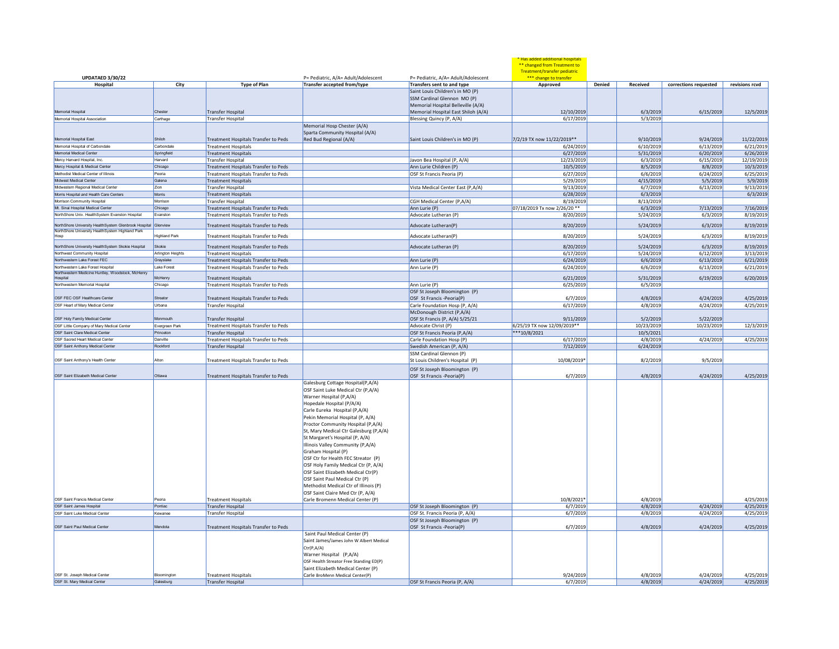|                                                                               |                      |                                                                    |                                                                                                                                                                                                                                                                                                                                                                                                                                                                                                                                                                                     |                                                                 | Has added additional hospitals<br>** changed from Treatment to<br>Treatment/transfer pediatric |        |                        |                         |                        |
|-------------------------------------------------------------------------------|----------------------|--------------------------------------------------------------------|-------------------------------------------------------------------------------------------------------------------------------------------------------------------------------------------------------------------------------------------------------------------------------------------------------------------------------------------------------------------------------------------------------------------------------------------------------------------------------------------------------------------------------------------------------------------------------------|-----------------------------------------------------------------|------------------------------------------------------------------------------------------------|--------|------------------------|-------------------------|------------------------|
| <b>UPDATAED 3/30/22</b>                                                       |                      |                                                                    | P= Pediatric, A/A= Adult/Adolescent                                                                                                                                                                                                                                                                                                                                                                                                                                                                                                                                                 | P= Pediatric, A/A= Adult/Adolescent                             | *** change to transfer                                                                         |        |                        |                         |                        |
| Hospital                                                                      | City                 | <b>Type of Plan</b>                                                | Transfer accepted from/type                                                                                                                                                                                                                                                                                                                                                                                                                                                                                                                                                         | Transfers sent to and type                                      | Approved                                                                                       | Denied | Received               | corrections requested   | revisions rcvd         |
|                                                                               |                      |                                                                    |                                                                                                                                                                                                                                                                                                                                                                                                                                                                                                                                                                                     | Saint Louis Children's in MO (P)<br>SSM Cardinal Glennon MO (P) |                                                                                                |        |                        |                         |                        |
|                                                                               |                      |                                                                    |                                                                                                                                                                                                                                                                                                                                                                                                                                                                                                                                                                                     | Memorial Hospital Belleville (A/A)                              |                                                                                                |        |                        |                         |                        |
| Memorial Hospital                                                             | Cheste               | <b>Transfer Hospital</b>                                           |                                                                                                                                                                                                                                                                                                                                                                                                                                                                                                                                                                                     | Memorial Hospital East Shiloh (A/A)                             | 12/10/2019                                                                                     |        | 6/3/2019               | 6/15/2019               | 12/5/2019              |
| Memorial Hospital Association                                                 | Carthage             | <b>Transfer Hospital</b>                                           |                                                                                                                                                                                                                                                                                                                                                                                                                                                                                                                                                                                     | Blessing Quincy (P, A/A)                                        | 6/17/2019                                                                                      |        | 5/3/2019               |                         |                        |
|                                                                               |                      |                                                                    | Memorial Hosp Chester (A/A)<br>Sparta Community Hospital (A/A)                                                                                                                                                                                                                                                                                                                                                                                                                                                                                                                      |                                                                 |                                                                                                |        |                        |                         |                        |
| Memorial Hospital East                                                        | Shiloh               | Treatment Hospitals Transfer to Peds                               | Red Bud Regional (A/A)                                                                                                                                                                                                                                                                                                                                                                                                                                                                                                                                                              | Saint Louis Children's in MO (P)                                | 7/2/19 TX now 11/22/2019**                                                                     |        | 9/10/2019              | 9/24/2019               | 11/22/2019             |
| Memorial Hospital of Carbondale                                               | Carbondale           | <b>Treatment Hospitals</b>                                         |                                                                                                                                                                                                                                                                                                                                                                                                                                                                                                                                                                                     |                                                                 | 6/24/2019                                                                                      |        | 6/10/2019              | 6/13/2019               | 6/21/2019              |
| Memorial Medical Center                                                       | Springfield          | <b>Treatment Hospitals</b>                                         |                                                                                                                                                                                                                                                                                                                                                                                                                                                                                                                                                                                     |                                                                 | 6/27/2019                                                                                      |        | 5/31/2019              | 6/20/2019               | 6/26/2019              |
| Mercy Harvard Hospital, Inc.                                                  | Harvard              | Transfer Hospital                                                  |                                                                                                                                                                                                                                                                                                                                                                                                                                                                                                                                                                                     | Javon Bea Hospital (P, A/A)                                     | 12/23/2019                                                                                     |        | 6/3/2019               | 6/15/2019               | 12/19/2019             |
| Mercy Hospital & Medical Center                                               | Chicago              | Treatment Hospitals Transfer to Peds                               |                                                                                                                                                                                                                                                                                                                                                                                                                                                                                                                                                                                     | Ann Lurie Children (P)                                          | 10/5/2019                                                                                      |        | 8/5/2019               | 8/8/2019                | 10/3/2019              |
| Methodist Medical Center of Illinois                                          | Peoria               | Treatment Hospitals Transfer to Peds                               |                                                                                                                                                                                                                                                                                                                                                                                                                                                                                                                                                                                     | OSF St Francis Peoria (P)                                       | 6/27/2019                                                                                      |        | 6/6/2019               | 6/24/2019               | 6/25/2019              |
| Midwest Medical Center                                                        | Galena               | <b>Treatment Hospitals</b>                                         |                                                                                                                                                                                                                                                                                                                                                                                                                                                                                                                                                                                     |                                                                 | 5/29/2019                                                                                      |        | 4/15/2019              | 5/5/2019                | 5/9/2019               |
| Midwestern Regional Medical Center<br>Morris Hospital and Health Care Centers | Zion<br>Morris       | <b>Transfer Hospital</b><br><b>Treatment Hospitals</b>             |                                                                                                                                                                                                                                                                                                                                                                                                                                                                                                                                                                                     | Vista Medical Center East (P,A/A)                               | 9/13/2019<br>6/28/2019                                                                         |        | 6/7/2019<br>6/3/2019   | 6/13/2019               | 9/13/2019<br>6/3/2019  |
| Morrison Community Hospital                                                   | Morrison             | <b>Transfer Hospital</b>                                           |                                                                                                                                                                                                                                                                                                                                                                                                                                                                                                                                                                                     | CGH Medical Center (P,A/A)                                      | 8/19/2019                                                                                      |        | 8/13/2019              |                         |                        |
| Mt. Sinai Hospital Medical Center                                             | Chicago              | Treatment Hospitals Transfer to Peds                               |                                                                                                                                                                                                                                                                                                                                                                                                                                                                                                                                                                                     |                                                                 | 07/18/2019 Tx now 2/26/20 **                                                                   |        | 6/3/2019               | 7/13/2019               | 7/16/2019              |
| NorthShore Univ. HealthSystem Evanston Hospital                               | Evanston             | Treatment Hospitals Transfer to Peds                               |                                                                                                                                                                                                                                                                                                                                                                                                                                                                                                                                                                                     | Ann Lurie (P)<br>Advocate Lutheran (P)                          | 8/20/2019                                                                                      |        | 5/24/2019              | 6/3/2019                | 8/19/2019              |
| NorthShore University HealthSystem Glenbrook Hospital Glenview                |                      | Treatment Hospitals Transfer to Peds                               |                                                                                                                                                                                                                                                                                                                                                                                                                                                                                                                                                                                     | Advocate Lutheran(P)                                            | 8/20/2019                                                                                      |        | 5/24/2019              | 6/3/2019                | 8/19/2019              |
| NorthShore University HealthSystem Highland Park                              | <b>Highland Park</b> | Treatment Hospitals Transfer to Peds                               |                                                                                                                                                                                                                                                                                                                                                                                                                                                                                                                                                                                     | Advocate Lutheran(P)                                            | 8/20/2019                                                                                      |        | 5/24/2019              | 6/3/2019                | 8/19/2019              |
| NorthShore University HealthSystem Skokie Hospital                            | Skokie               |                                                                    |                                                                                                                                                                                                                                                                                                                                                                                                                                                                                                                                                                                     |                                                                 |                                                                                                |        |                        | 6/3/2019                | 8/19/2019              |
| Northwest Community Hospita                                                   | Arlington Heights    | Treatment Hospitals Transfer to Peds<br><b>Treatment Hospitals</b> |                                                                                                                                                                                                                                                                                                                                                                                                                                                                                                                                                                                     | Advocate Lutheran (P)                                           | 8/20/2019<br>6/17/2019                                                                         |        | 5/24/2019<br>5/24/2019 | 6/12/2019               | 3/13/2019              |
| Northwestern Lake Forest FEC                                                  | Grayslake            | Treatment Hospitals Transfer to Peds                               |                                                                                                                                                                                                                                                                                                                                                                                                                                                                                                                                                                                     | Ann Lurie (P)                                                   | 6/24/2019                                                                                      |        | 6/6/2019               | 6/13/2019               | 6/21/2019              |
| Northwestern Lake Forest Hospital                                             | Lake Forest          | Treatment Hospitals Transfer to Peds                               |                                                                                                                                                                                                                                                                                                                                                                                                                                                                                                                                                                                     | Ann Lurie (P)                                                   | 6/24/2019                                                                                      |        | 6/6/2019               | 6/13/2019               | 6/21/2019              |
| Northwestern Medicine Huntley, Woodstock, McHenry                             |                      |                                                                    |                                                                                                                                                                                                                                                                                                                                                                                                                                                                                                                                                                                     |                                                                 |                                                                                                |        |                        |                         |                        |
| Hospital                                                                      | McHenry              | <b>Treatment Hospitals</b>                                         |                                                                                                                                                                                                                                                                                                                                                                                                                                                                                                                                                                                     |                                                                 | 6/21/2019                                                                                      |        | 5/31/2019              | 6/19/2019               | 6/20/2019              |
| Northwestern Memorial Hospital                                                | Chicago              | Treatment Hospitals Transfer to Peds                               |                                                                                                                                                                                                                                                                                                                                                                                                                                                                                                                                                                                     | Ann Lurie (P)                                                   | 6/25/2019                                                                                      |        | 6/5/2019               |                         |                        |
|                                                                               |                      |                                                                    |                                                                                                                                                                                                                                                                                                                                                                                                                                                                                                                                                                                     | OSF St Joseph Bloomington (P)                                   |                                                                                                |        |                        |                         |                        |
| OSF FEC OSF Healthcare Center                                                 | Streator             | Treatment Hospitals Transfer to Peds                               |                                                                                                                                                                                                                                                                                                                                                                                                                                                                                                                                                                                     | OSF St Francis - Peoria(P)                                      | 6/7/2019                                                                                       |        | 4/8/2019               | 4/24/2019               | 4/25/2019              |
| OSF Heart of Mary Medical Center                                              | Urbana               | <b>Transfer Hospital</b>                                           |                                                                                                                                                                                                                                                                                                                                                                                                                                                                                                                                                                                     | Carle Foundation Hosp (P, A/A)                                  | 6/17/2019                                                                                      |        | 4/8/2019               | 4/24/2019               | 4/25/2019              |
| OSF Holy Family Medical Center                                                | Monmouth             |                                                                    |                                                                                                                                                                                                                                                                                                                                                                                                                                                                                                                                                                                     | McDonough District (P,A/A)                                      |                                                                                                |        |                        |                         |                        |
| OSF Little Company of Mary Medical Center                                     | Evergreen Park       | Transfer Hospital<br>Treatment Hospitals Transfer to Peds          |                                                                                                                                                                                                                                                                                                                                                                                                                                                                                                                                                                                     | OSF St Francis (P, A/A) 5/25/21<br>Advocate Christ (P)          | 9/11/2019<br>6/25/19 TX now 12/09/2019**                                                       |        | 5/2/2019<br>10/23/2019 | 5/22/2019<br>10/23/2019 | 12/3/2019              |
| OSF Saint Clare Medical Center                                                | Princeton            | Transfer Hospital                                                  |                                                                                                                                                                                                                                                                                                                                                                                                                                                                                                                                                                                     | OSF St Francis Peoria (P,A/A)                                   | $***10/8/2021$                                                                                 |        | 10/5/2021              |                         |                        |
| OSE Sacred Heart Medical Center                                               | Danville             | Treatment Hospitals Transfer to Peds                               |                                                                                                                                                                                                                                                                                                                                                                                                                                                                                                                                                                                     | Carle Foundation Hosp (P)                                       | 6/17/2019                                                                                      |        | 4/8/2019               | 4/24/2019               | 4/25/2019              |
| OSF Saint Anthony Medical Center                                              | Rockford             | Transfer Hospital                                                  |                                                                                                                                                                                                                                                                                                                                                                                                                                                                                                                                                                                     | Swedish American (P, A/A)                                       | 7/12/2019                                                                                      |        | 6/24/2019              |                         |                        |
|                                                                               |                      |                                                                    |                                                                                                                                                                                                                                                                                                                                                                                                                                                                                                                                                                                     | SSM Cardinal Glennon (P)                                        |                                                                                                |        |                        |                         |                        |
| OSF Saint Anthony's Health Center                                             | Alton                | <b>Treatment Hospitals Transfer to Peds</b>                        |                                                                                                                                                                                                                                                                                                                                                                                                                                                                                                                                                                                     | St Louis Children's Hospital (P)                                | 10/08/2019*                                                                                    |        | 8/2/2019               | 9/5/2019                |                        |
|                                                                               |                      |                                                                    |                                                                                                                                                                                                                                                                                                                                                                                                                                                                                                                                                                                     | OSF St Joseph Bloomington (P)                                   |                                                                                                |        |                        |                         |                        |
| OSF Saint Elizabeth Medical Center                                            | Ottawa               | Treatment Hospitals Transfer to Peds                               | Galesburg Cottage Hospital(P,A/A)                                                                                                                                                                                                                                                                                                                                                                                                                                                                                                                                                   | OSF St Francis - Peoria(P)                                      | 6/7/2019                                                                                       |        | 4/8/2019               | 4/24/2019               | 4/25/2019              |
| OSE Saint Francis Medical Center                                              | Peoria               |                                                                    | OSF Saint Luke Medical Ctr (P,A/A)<br>Warner Hospital (P,A/A)<br>Hopedale Hospital (P/A/A)<br>Carle Eureka Hospital (P,A/A)<br>Pekin Memorial Hospital (P, A/A)<br>Proctor Community Hospital (P,A/A)<br>St, Mary Medical Ctr Galesburg (P,A/A)<br>St Margaret's Hospital (P, A/A)<br>Illinois Valley Community (P,A/A)<br>Graham Hospital (P)<br>OSF Ctr for Health FEC Streator (P)<br>OSF Holy Family Medical Ctr (P, A/A)<br>OSF Saint Elizabeth Medical Ctr(P)<br>OSF Saint Paul Medical Ctr (P)<br>Methodist Medical Ctr of Illinois (P)<br>OSF Saint Claire Med Ctr (P, A/A) |                                                                 |                                                                                                |        |                        |                         |                        |
| OSF Saint James Hospital                                                      | Pontiac              | <b>Treatment Hospitals</b><br>Transfer Hospital                    | Carle Bromenn Medical Center (P)                                                                                                                                                                                                                                                                                                                                                                                                                                                                                                                                                    | OSF St Joseph Bloomington (P)                                   | 10/8/2021*<br>6/7/2019                                                                         |        | 4/8/2019<br>4/8/2019   | 4/24/2019               | 4/25/2019<br>4/25/2019 |
| OSF Saint Luke Medical Center                                                 | Kewanee              | <b>Transfer Hospital</b>                                           |                                                                                                                                                                                                                                                                                                                                                                                                                                                                                                                                                                                     | OSF St. Francis Peoria (P, A/A)                                 | 6/7/2019                                                                                       |        | 4/8/2019               | 4/24/2019               | 4/25/2019              |
|                                                                               |                      |                                                                    |                                                                                                                                                                                                                                                                                                                                                                                                                                                                                                                                                                                     | OSF St Joseph Bloomington (P)                                   |                                                                                                |        |                        |                         |                        |
| OSF Saint Paul Medical Center                                                 | Mendota              | Treatment Hospitals Transfer to Peds                               |                                                                                                                                                                                                                                                                                                                                                                                                                                                                                                                                                                                     | OSF St Francis - Peoria(P)                                      | 6/7/2019                                                                                       |        | 4/8/2019               | 4/24/2019               | 4/25/2019              |
|                                                                               |                      |                                                                    | Saint Paul Medical Center (P)<br>Saint James/James John W Albert Medical<br>Ctr(P,A/A)<br>Warner Hospital (P,A/A)<br>OSF Health Streator Free Standing ED(P)<br>Saint Elizabeth Medical Center (P)                                                                                                                                                                                                                                                                                                                                                                                  |                                                                 |                                                                                                |        |                        |                         |                        |
| OSE St. Joseph Medical Center                                                 | Bloomington          | <b>Treatment Hospitals</b>                                         | Carle BroMenn Medical Center(P)                                                                                                                                                                                                                                                                                                                                                                                                                                                                                                                                                     |                                                                 | 9/24/2019                                                                                      |        | 4/8/2019               | 4/24/2019               | 4/25/2019              |
| OSF St. Mary Medical Center                                                   | Galesburg            | Transfer Hospital                                                  |                                                                                                                                                                                                                                                                                                                                                                                                                                                                                                                                                                                     | OSF St Francis Peoria (P, A/A)                                  | 6/7/2019                                                                                       |        | 4/8/2019               | 4/24/2019               | 4/25/2019              |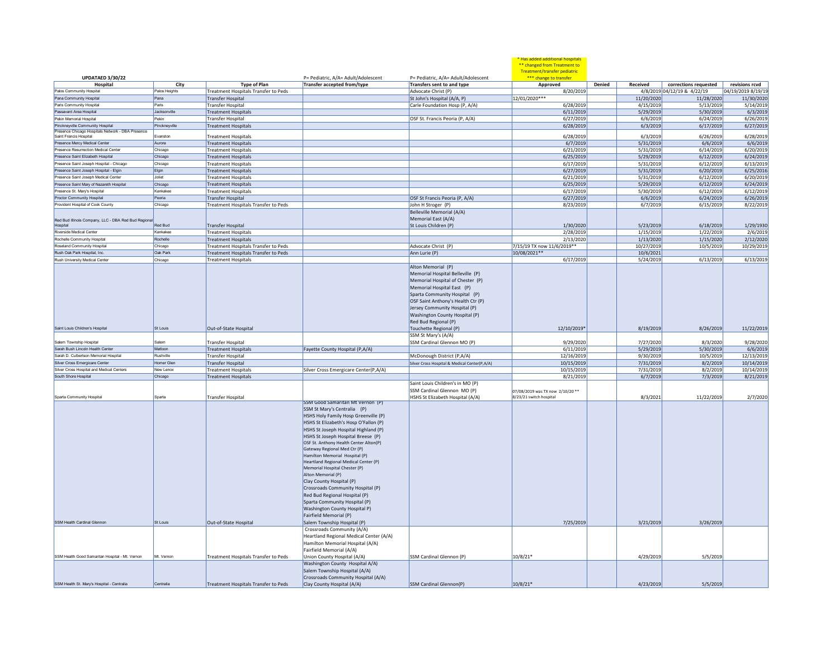| <b>UPDATAED 3/30/22</b>                             |               |                                             | P= Pediatric, A/A= Adult/Adolescent                                                                                                                                                                                                                                                                                                                                                                                                                                                                                                                                                                                                                                     | P= Pediatric, A/A= Adult/Adolescent                                                                                                                                                                                                                                | * Has added additional hospital<br>** changed from Treatment to<br>Treatment/transfer pediatric<br>*** change to transfer |        |            |                             |                    |
|-----------------------------------------------------|---------------|---------------------------------------------|-------------------------------------------------------------------------------------------------------------------------------------------------------------------------------------------------------------------------------------------------------------------------------------------------------------------------------------------------------------------------------------------------------------------------------------------------------------------------------------------------------------------------------------------------------------------------------------------------------------------------------------------------------------------------|--------------------------------------------------------------------------------------------------------------------------------------------------------------------------------------------------------------------------------------------------------------------|---------------------------------------------------------------------------------------------------------------------------|--------|------------|-----------------------------|--------------------|
| Hospital                                            | City          | <b>Type of Plan</b>                         | Transfer accepted from/type                                                                                                                                                                                                                                                                                                                                                                                                                                                                                                                                                                                                                                             | Transfers sent to and type                                                                                                                                                                                                                                         | Approved                                                                                                                  | Denied | Received   | corrections requested       | revisions rcvd     |
| Palos Community Hospital                            | Palos Heights | Treatment Hospitals Transfer to Peds        |                                                                                                                                                                                                                                                                                                                                                                                                                                                                                                                                                                                                                                                                         | Advocate Christ (P)                                                                                                                                                                                                                                                | 8/20/2019                                                                                                                 |        |            | 4/8/2019 04/12/19 & 4/22/19 | 04/19/2019 8/19/19 |
| Pana Community Hospital                             | Pana          | Transfer Hospital                           |                                                                                                                                                                                                                                                                                                                                                                                                                                                                                                                                                                                                                                                                         | St John's Hospital (A/A, P)                                                                                                                                                                                                                                        | 12/01/2020 ***                                                                                                            |        | 11/20/2020 | 11/28/2020                  | 11/30/2020         |
| Paris Community Hospital                            | Paris         | <b>Transfer Hospital</b>                    |                                                                                                                                                                                                                                                                                                                                                                                                                                                                                                                                                                                                                                                                         | Carle Foundation Hosp (P, A/A)                                                                                                                                                                                                                                     | 6/28/2019                                                                                                                 |        | 4/15/2019  | 5/13/2019                   | 5/14/2019          |
| Passavant Area Hospital                             | Jacksonville  | <b>Treatment Hospitals</b>                  |                                                                                                                                                                                                                                                                                                                                                                                                                                                                                                                                                                                                                                                                         |                                                                                                                                                                                                                                                                    | 6/11/2019                                                                                                                 |        | 5/29/2019  | 5/30/2019                   | 6/3/2019           |
| Pekin Memorial Hospital                             | Pekin         | <b>Transfer Hospital</b>                    |                                                                                                                                                                                                                                                                                                                                                                                                                                                                                                                                                                                                                                                                         | OSF St. Francis Peoria (P, A/A)                                                                                                                                                                                                                                    | 6/27/2019                                                                                                                 |        | 6/6/2019   | 6/24/2019                   | 6/26/2019          |
| Pinckneyville Community Hospital                    | Pinckneyville | <b>Treatment Hospitals</b>                  |                                                                                                                                                                                                                                                                                                                                                                                                                                                                                                                                                                                                                                                                         |                                                                                                                                                                                                                                                                    | 6/28/2019                                                                                                                 |        | 6/3/2019   | 6/17/2019                   | 6/27/2019          |
| Presence Chicago Hospitals Network - DBA Presence   |               |                                             |                                                                                                                                                                                                                                                                                                                                                                                                                                                                                                                                                                                                                                                                         |                                                                                                                                                                                                                                                                    |                                                                                                                           |        |            |                             |                    |
| Saint Francis Hospital                              | Evanston      | <b>Treatment Hospitals</b>                  |                                                                                                                                                                                                                                                                                                                                                                                                                                                                                                                                                                                                                                                                         |                                                                                                                                                                                                                                                                    | 6/28/2019                                                                                                                 |        | 6/3/2019   | 6/26/2019                   | 6/28/2019          |
| Presence Mercy Medical Center                       | Aurora        | <b>Treatment Hospitals</b>                  |                                                                                                                                                                                                                                                                                                                                                                                                                                                                                                                                                                                                                                                                         |                                                                                                                                                                                                                                                                    | 6/7/2019                                                                                                                  |        | 5/31/2019  | 6/6/2019                    | 6/6/2019           |
| Presence Resurrection Medical Center                | Chicago       | <b>Treatment Hospitals</b>                  |                                                                                                                                                                                                                                                                                                                                                                                                                                                                                                                                                                                                                                                                         |                                                                                                                                                                                                                                                                    | 6/21/2019                                                                                                                 |        | 5/31/2019  | 6/14/2019                   | 6/20/2019          |
| Presence Saint Elizabeth Hospital                   | Chicago       | <b>Treatment Hospitals</b>                  |                                                                                                                                                                                                                                                                                                                                                                                                                                                                                                                                                                                                                                                                         |                                                                                                                                                                                                                                                                    | 6/25/2019                                                                                                                 |        | 5/29/2019  | 6/12/2019                   | 6/24/2019          |
| Presence Saint Joseph Hospital - Chicago            | Chicago       | <b>Treatment Hospitals</b>                  |                                                                                                                                                                                                                                                                                                                                                                                                                                                                                                                                                                                                                                                                         |                                                                                                                                                                                                                                                                    | 6/17/2019                                                                                                                 |        | 5/31/2019  | 6/12/2019                   | 6/13/2019          |
| Presence Saint Joseph Hospital - Elgin              | Elgin         | <b>Treatment Hospitals</b>                  |                                                                                                                                                                                                                                                                                                                                                                                                                                                                                                                                                                                                                                                                         |                                                                                                                                                                                                                                                                    | 6/27/2019                                                                                                                 |        | 5/31/2019  | 6/20/2019                   | 6/25/2016          |
| Presence Saint Joseph Medical Center                | Joliet        | <b>Treatment Hospitals</b>                  |                                                                                                                                                                                                                                                                                                                                                                                                                                                                                                                                                                                                                                                                         |                                                                                                                                                                                                                                                                    | 6/21/2019                                                                                                                 |        | 5/31/2019  | 6/12/2019                   | 6/20/2019          |
| Presence Saint Mary of Nazareth Hospita             | Chicago       | <b>Treatment Hospitals</b>                  |                                                                                                                                                                                                                                                                                                                                                                                                                                                                                                                                                                                                                                                                         |                                                                                                                                                                                                                                                                    | 6/25/2019                                                                                                                 |        | 5/29/2019  | 6/12/2019                   | 6/24/2019          |
| Presence St. Mary's Hospital                        | Kankake       | <b>Treatment Hospitals</b>                  |                                                                                                                                                                                                                                                                                                                                                                                                                                                                                                                                                                                                                                                                         |                                                                                                                                                                                                                                                                    | 6/17/2019                                                                                                                 |        | 5/30/2019  | 6/12/2019                   | 6/12/2019          |
| Proctor Community Hospital                          | Peoria        | Transfer Hospital                           |                                                                                                                                                                                                                                                                                                                                                                                                                                                                                                                                                                                                                                                                         | OSF St Francis Peoria (P, A/A)                                                                                                                                                                                                                                     | 6/27/2019                                                                                                                 |        | 6/6/2019   | 6/24/2019                   | 6/26/2019          |
| Provident Hospital of Cook County                   | Chicago       | Treatment Hospitals Transfer to Peds        |                                                                                                                                                                                                                                                                                                                                                                                                                                                                                                                                                                                                                                                                         | John H Stroger (P)                                                                                                                                                                                                                                                 | 8/23/2019                                                                                                                 |        | 6/7/2019   | 6/15/2019                   | 8/22/2019          |
| Red Bud Illinois Company, LLC - DBA Red Bud Regiona |               |                                             |                                                                                                                                                                                                                                                                                                                                                                                                                                                                                                                                                                                                                                                                         | Belleville Memorial (A/A)<br>Memorial East (A/A)                                                                                                                                                                                                                   |                                                                                                                           |        |            |                             |                    |
| Hospital                                            | Red Bud       | Transfer Hospital                           |                                                                                                                                                                                                                                                                                                                                                                                                                                                                                                                                                                                                                                                                         | St Louis Children (P)                                                                                                                                                                                                                                              | 1/30/2020                                                                                                                 |        | 5/23/2019  | 6/18/2019                   | 1/29/1930          |
| Riverside Medical Center                            | Kankakee      | <b>Treatment Hospitals</b>                  |                                                                                                                                                                                                                                                                                                                                                                                                                                                                                                                                                                                                                                                                         |                                                                                                                                                                                                                                                                    | 2/28/2019                                                                                                                 |        | 1/15/2019  | 1/22/2019                   | 2/6/2019           |
| Rochelle Community Hospital                         | Rochelle      | <b>Treatment Hospitals</b>                  |                                                                                                                                                                                                                                                                                                                                                                                                                                                                                                                                                                                                                                                                         |                                                                                                                                                                                                                                                                    | 2/13/2020                                                                                                                 |        | 1/13/2020  | 1/15/2020                   | 2/12/2020          |
| Roseland Community Hospital                         | Chicago       | Treatment Hospitals Transfer to Peds        |                                                                                                                                                                                                                                                                                                                                                                                                                                                                                                                                                                                                                                                                         | Advocate Christ (P)                                                                                                                                                                                                                                                | 7/15/19 TX now 11/6/2019**                                                                                                |        | 10/27/2019 | 10/5/2019                   | 10/29/2019         |
| Rush Oak Park Hospital, Inc.                        | Oak Park      | Treatment Hospitals Transfer to Peds        |                                                                                                                                                                                                                                                                                                                                                                                                                                                                                                                                                                                                                                                                         | Ann Lurie (P)                                                                                                                                                                                                                                                      | 10/08/2021**                                                                                                              |        | 10/6/2021  |                             |                    |
| Rush University Medical Center                      | Chicago       | <b>Treatment Hospitals</b>                  |                                                                                                                                                                                                                                                                                                                                                                                                                                                                                                                                                                                                                                                                         |                                                                                                                                                                                                                                                                    | 6/17/2019                                                                                                                 |        | 5/24/2019  | 6/13/2019                   | 6/13/2019          |
|                                                     |               |                                             |                                                                                                                                                                                                                                                                                                                                                                                                                                                                                                                                                                                                                                                                         | Alton Memorial (P)<br>Memorial Hospital Belleville (P)<br>Memorial Hospital of Chester (P)<br>Memorial Hospital East (P)<br>Sparta Community Hospital (P)<br>OSF Saint Anthony's Health Ctr (P)<br>Jersey Community Hospital (P)<br>Washington County Hospital (P) |                                                                                                                           |        |            |                             |                    |
|                                                     |               |                                             |                                                                                                                                                                                                                                                                                                                                                                                                                                                                                                                                                                                                                                                                         | Red Bud Regional (P)                                                                                                                                                                                                                                               |                                                                                                                           |        |            |                             |                    |
| Saint Louis Children's Hospita                      | St Louis      | Out-of-State Hospital                       |                                                                                                                                                                                                                                                                                                                                                                                                                                                                                                                                                                                                                                                                         | Touchette Regional (P)                                                                                                                                                                                                                                             | 12/10/2019*                                                                                                               |        | 8/19/2019  | 8/26/2019                   | 11/22/2019         |
|                                                     |               |                                             |                                                                                                                                                                                                                                                                                                                                                                                                                                                                                                                                                                                                                                                                         | SSM St Mary's (A/A)                                                                                                                                                                                                                                                |                                                                                                                           |        |            |                             |                    |
| Salem Township Hospital                             | Salem         | <b>Transfer Hospital</b>                    |                                                                                                                                                                                                                                                                                                                                                                                                                                                                                                                                                                                                                                                                         | SSM Cardinal Glennon MO (P)                                                                                                                                                                                                                                        | 9/29/2020                                                                                                                 |        | 7/27/2020  | 8/3/2020                    | 9/28/2020          |
| Sarah Bush Lincoln Health Center                    | Mattoon       | <b>Treatment Hospitals</b>                  | Fayette County Hospital (P,A/A)                                                                                                                                                                                                                                                                                                                                                                                                                                                                                                                                                                                                                                         |                                                                                                                                                                                                                                                                    | 6/11/2019                                                                                                                 |        | 5/29/2019  | 5/30/2019                   | 6/6/2019           |
| Sarah D. Culbertson Memorial Hospital               | Rushville     | <b>Transfer Hospital</b>                    |                                                                                                                                                                                                                                                                                                                                                                                                                                                                                                                                                                                                                                                                         | McDonough District (P,A/A)                                                                                                                                                                                                                                         | 12/16/2019                                                                                                                |        | 9/30/2019  | 10/5/2019                   | 12/13/2019         |
| Silver Cross Emergicare Center                      | Homer Glen    | Transfer Hospital                           |                                                                                                                                                                                                                                                                                                                                                                                                                                                                                                                                                                                                                                                                         | Silver Cross Hospital & Medical Center(P,A/A)                                                                                                                                                                                                                      | 10/15/2019                                                                                                                |        | 7/31/2019  | 8/2/2019                    | 10/14/2019         |
| Silver Cross Hospital and Medical Centers           | New Lenox     | <b>Treatment Hospitals</b>                  | Silver Cross Emergicare Center(P,A/A)                                                                                                                                                                                                                                                                                                                                                                                                                                                                                                                                                                                                                                   |                                                                                                                                                                                                                                                                    | 10/15/2019                                                                                                                |        | 7/31/2019  | 8/2/2019                    | 10/14/2019         |
| South Shore Hospital                                | Chicago       | <b>Treatment Hospitals</b>                  |                                                                                                                                                                                                                                                                                                                                                                                                                                                                                                                                                                                                                                                                         |                                                                                                                                                                                                                                                                    | 8/21/2019                                                                                                                 |        | 6/7/2019   | 7/3/2019                    | 8/21/2019          |
|                                                     |               |                                             |                                                                                                                                                                                                                                                                                                                                                                                                                                                                                                                                                                                                                                                                         | Saint Louis Children's in MO (P)<br>SSM Cardinal Glennon MO (P)                                                                                                                                                                                                    | 07/08/2019 was TX now 2/10/20 **                                                                                          |        |            |                             |                    |
| Sparta Community Hospital                           | Sparta        | <b>Transfer Hospital</b>                    |                                                                                                                                                                                                                                                                                                                                                                                                                                                                                                                                                                                                                                                                         | HSHS St Elizabeth Hospital (A/A)                                                                                                                                                                                                                                   | 8/23/21 switch hospital                                                                                                   |        | 8/3/2021   | 11/22/2019                  | 2/7/2020           |
| SSM Health Cardinal Glennon                         | St Louis      |                                             | SSM Good Samaritan Mt Vernon (P)<br>SSM St Mary's Centralia (P)<br>HSHS Holy Family Hosp Greenville (P)<br>HSHS St Elizabeth's Hosp O'Fallon (P)<br>HSHS St Joseph Hospital Highland (P)<br>HSHS St Joseph Hospital Breese (P)<br>OSF St. Anthony Health Center Alton(P)<br>Gateway Regional Med Ctr (P)<br>Hamilton Memorial Hospital (P)<br>Heartland Regional Medical Center (P)<br>Memorial Hospital Chester (P)<br>Alton Memorial (P)<br>Clay County Hospital (P)<br>Crossroads Community Hospital (P)<br>Red Bud Regional Hospital (P)<br>Sparta Community Hospital (P)<br>Washington County Hospital P)<br>Fairfield Memorial (P)<br>Salem Township Hospital (P) |                                                                                                                                                                                                                                                                    | 7/25/2019                                                                                                                 |        | 3/21/2019  | 3/26/2019                   |                    |
|                                                     |               | Out-of-State Hospital                       |                                                                                                                                                                                                                                                                                                                                                                                                                                                                                                                                                                                                                                                                         |                                                                                                                                                                                                                                                                    |                                                                                                                           |        |            |                             |                    |
| SSM Health Good Samaritan Hospital - Mt. Vernon     | Mt. Vernon    | Treatment Hospitals Transfer to Peds        | Crossroads Community (A/A)<br>Heartland Regional Medical Center (A/A)<br>Hamilton Memorial Hospital (A/A)<br>Fairfield Memorial (A/A)<br>Union County Hospital (A/A)                                                                                                                                                                                                                                                                                                                                                                                                                                                                                                    | SSM Cardinal Glennon (P)                                                                                                                                                                                                                                           | 10/8/21*                                                                                                                  |        | 4/29/2019  | 5/5/2019                    |                    |
|                                                     |               |                                             | Washington County Hospital A/A)                                                                                                                                                                                                                                                                                                                                                                                                                                                                                                                                                                                                                                         |                                                                                                                                                                                                                                                                    |                                                                                                                           |        |            |                             |                    |
| SSM Health St. Mary's Hospital - Centralia          | Centralia     | <b>Treatment Hospitals Transfer to Peds</b> | Salem Township Hospital (A/A)<br>Crossroads Community Hospital (A/A)<br>Clay County Hospital (A/A)                                                                                                                                                                                                                                                                                                                                                                                                                                                                                                                                                                      | SSM Cardinal Glennon(P)                                                                                                                                                                                                                                            | $10/8/21*$                                                                                                                |        | 4/23/2019  | 5/5/2019                    |                    |